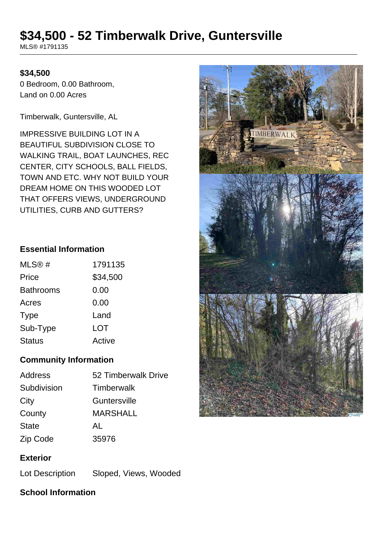# **\$34,500 - 52 Timberwalk Drive, Guntersville**

MLS® #1791135

#### **\$34,500**

0 Bedroom, 0.00 Bathroom, Land on 0.00 Acres

Timberwalk, Guntersville, AL

IMPRESSIVE BUILDING LOT IN A BEAUTIFUL SUBDIVISION CLOSE TO WALKING TRAIL, BOAT LAUNCHES, REC CENTER, CITY SCHOOLS, BALL FIELDS, TOWN AND ETC. WHY NOT BUILD YOUR DREAM HOME ON THIS WOODED LOT THAT OFFERS VIEWS, UNDERGROUND UTILITIES, CURB AND GUTTERS?

#### **Essential Information**

| MLS@#            | 1791135  |
|------------------|----------|
| Price            | \$34,500 |
| <b>Bathrooms</b> | 0.00     |
| Acres            | 0.00     |
| <b>Type</b>      | Land     |
| Sub-Type         | LOT      |
| <b>Status</b>    | Active   |

### **Community Information**

| 52 Timberwalk Drive |
|---------------------|
| <b>Timberwalk</b>   |
| Guntersville        |
| <b>MARSHALL</b>     |
| AL                  |
| 35976               |
|                     |

### **Exterior**

Lot Description Sloped, Views, Wooded

# **School Information**